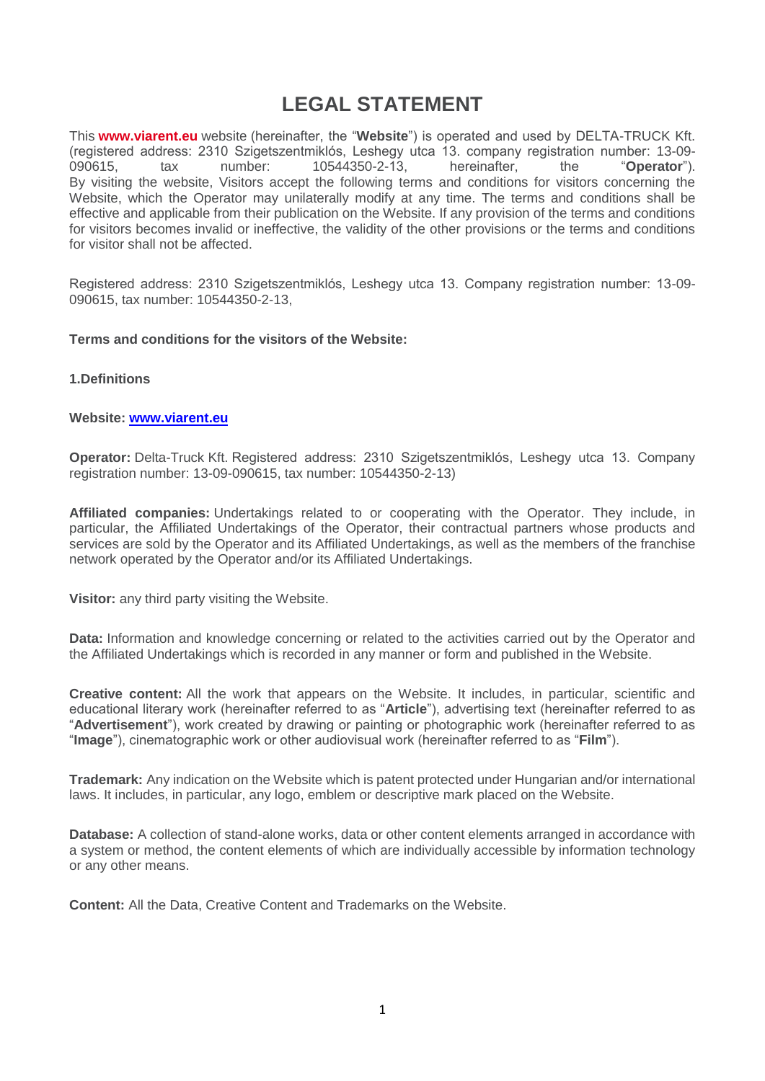# **LEGAL STATEMENT**

This **[www.viarent.eu](https://viaberauto.eu/)** website (hereinafter, the "**Website**") is operated and used by DELTA-TRUCK Kft. (registered address: 2310 Szigetszentmiklós, Leshegy utca 13. company registration number: 13-09- 090615, tax number: 10544350-2-13, hereinafter, the "**Operator**"). By visiting the website, Visitors accept the following terms and conditions for visitors concerning the Website, which the Operator may unilaterally modify at any time. The terms and conditions shall be effective and applicable from their publication on the Website. If any provision of the terms and conditions for visitors becomes invalid or ineffective, the validity of the other provisions or the terms and conditions for visitor shall not be affected.

Registered address: 2310 Szigetszentmiklós, Leshegy utca 13. Company registration number: 13-09- 090615, tax number: 10544350-2-13,

### **Terms and conditions for the visitors of the Website:**

### **1.Definitions**

### **Website: [www.viarent.eu](http://www.viarent.eu/)**

**Operator:** Delta-Truck Kft. Registered address: 2310 Szigetszentmiklós, Leshegy utca 13. Company registration number: 13-09-090615, tax number: 10544350-2-13)

**Affiliated companies:** Undertakings related to or cooperating with the Operator. They include, in particular, the Affiliated Undertakings of the Operator, their contractual partners whose products and services are sold by the Operator and its Affiliated Undertakings, as well as the members of the franchise network operated by the Operator and/or its Affiliated Undertakings.

**Visitor:** any third party visiting the Website.

**Data:** Information and knowledge concerning or related to the activities carried out by the Operator and the Affiliated Undertakings which is recorded in any manner or form and published in the Website.

**Creative content:** All the work that appears on the Website. It includes, in particular, scientific and educational literary work (hereinafter referred to as "**Article**"), advertising text (hereinafter referred to as "**Advertisement**"), work created by drawing or painting or photographic work (hereinafter referred to as "**Image**"), cinematographic work or other audiovisual work (hereinafter referred to as "**Film**").

**Trademark:** Any indication on the Website which is patent protected under Hungarian and/or international laws. It includes, in particular, any logo, emblem or descriptive mark placed on the Website.

**Database:** A collection of stand-alone works, data or other content elements arranged in accordance with a system or method, the content elements of which are individually accessible by information technology or any other means.

**Content:** All the Data, Creative Content and Trademarks on the Website.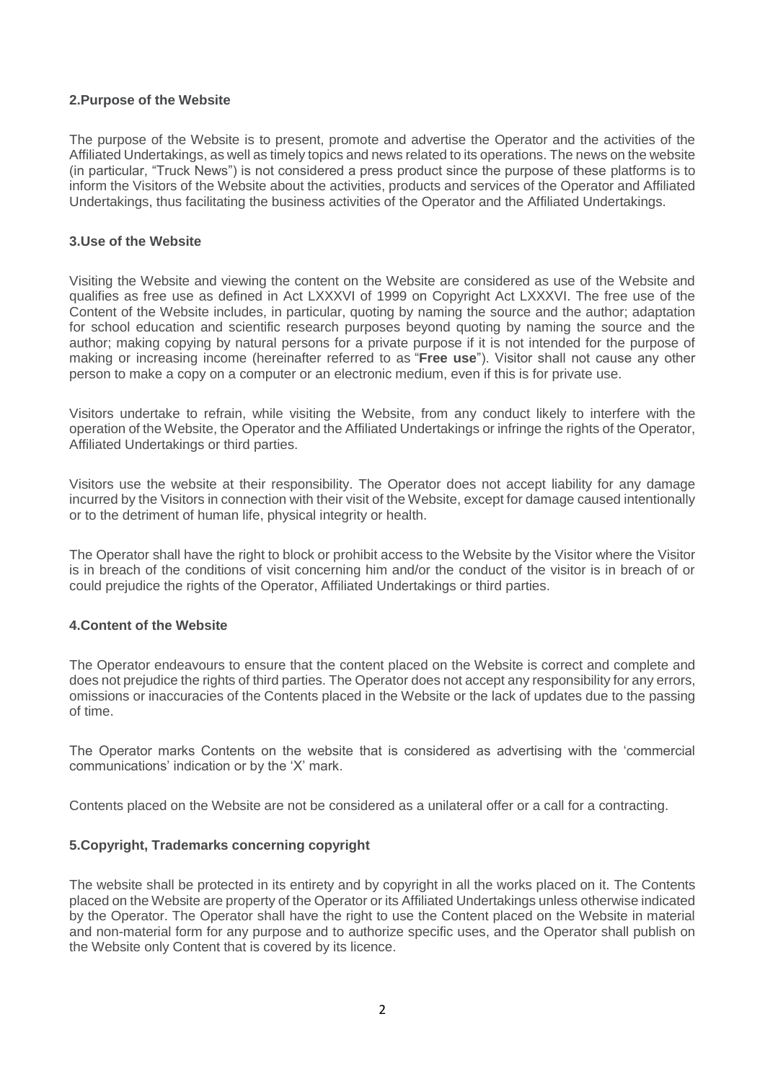## **2.Purpose of the Website**

The purpose of the Website is to present, promote and advertise the Operator and the activities of the Affiliated Undertakings, as well as timely topics and news related to its operations. The news on the website (in particular, "Truck News") is not considered a press product since the purpose of these platforms is to inform the Visitors of the Website about the activities, products and services of the Operator and Affiliated Undertakings, thus facilitating the business activities of the Operator and the Affiliated Undertakings.

## **3.Use of the Website**

Visiting the Website and viewing the content on the Website are considered as use of the Website and qualifies as free use as defined in Act LXXXVI of 1999 on Copyright Act LXXXVI. The free use of the Content of the Website includes, in particular, quoting by naming the source and the author; adaptation for school education and scientific research purposes beyond quoting by naming the source and the author; making copying by natural persons for a private purpose if it is not intended for the purpose of making or increasing income (hereinafter referred to as "**Free use**"). Visitor shall not cause any other person to make a copy on a computer or an electronic medium, even if this is for private use.

Visitors undertake to refrain, while visiting the Website, from any conduct likely to interfere with the operation of the Website, the Operator and the Affiliated Undertakings or infringe the rights of the Operator, Affiliated Undertakings or third parties.

Visitors use the website at their responsibility. The Operator does not accept liability for any damage incurred by the Visitors in connection with their visit of the Website, except for damage caused intentionally or to the detriment of human life, physical integrity or health.

The Operator shall have the right to block or prohibit access to the Website by the Visitor where the Visitor is in breach of the conditions of visit concerning him and/or the conduct of the visitor is in breach of or could prejudice the rights of the Operator, Affiliated Undertakings or third parties.

## **4.Content of the Website**

The Operator endeavours to ensure that the content placed on the Website is correct and complete and does not prejudice the rights of third parties. The Operator does not accept any responsibility for any errors, omissions or inaccuracies of the Contents placed in the Website or the lack of updates due to the passing of time.

The Operator marks Contents on the website that is considered as advertising with the 'commercial communications' indication or by the 'X' mark.

Contents placed on the Website are not be considered as a unilateral offer or a call for a contracting.

### **5.Copyright, Trademarks concerning copyright**

The website shall be protected in its entirety and by copyright in all the works placed on it. The Contents placed on the Website are property of the Operator or its Affiliated Undertakings unless otherwise indicated by the Operator. The Operator shall have the right to use the Content placed on the Website in material and non-material form for any purpose and to authorize specific uses, and the Operator shall publish on the Website only Content that is covered by its licence.